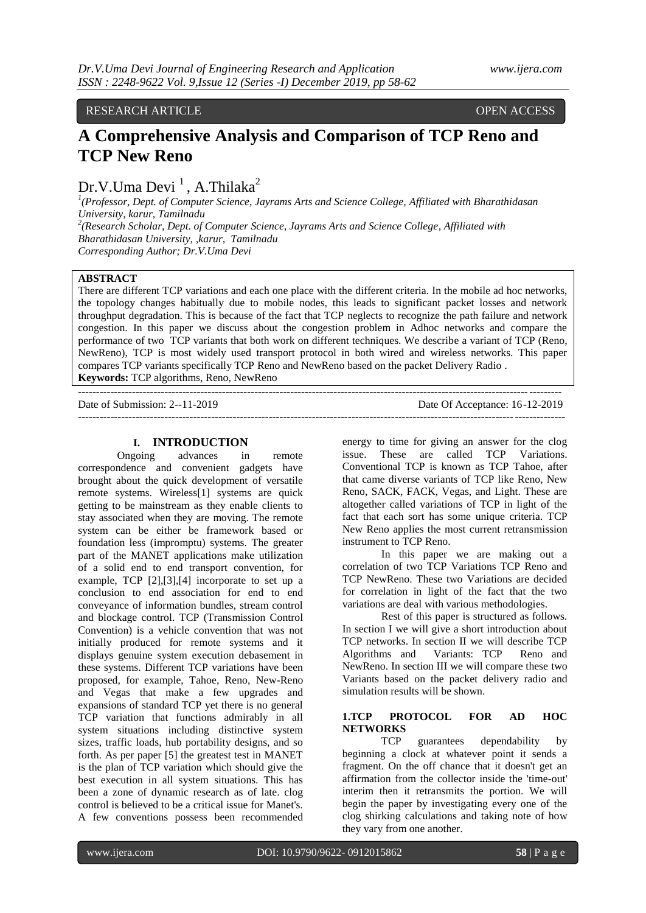RESEARCH ARTICLE OPEN ACCESS

# **A Comprehensive Analysis and Comparison of TCP Reno and TCP New Reno**

Dr.V.Uma Devi <sup>1</sup>, A.Thilaka<sup>2</sup>

*1 (Professor, Dept. of Computer Science, Jayrams Arts and Science College, Affiliated with Bharathidasan University, karur, Tamilnadu 2 (Research Scholar, Dept. of Computer Science, Jayrams Arts and Science College, Affiliated with Bharathidasan University, ,karur, Tamilnadu Corresponding Author; Dr.V.Uma Devi*

# **ABSTRACT**

There are different TCP variations and each one place with the different criteria. In the mobile ad hoc networks, the topology changes habitually due to mobile nodes, this leads to significant packet losses and network throughput degradation. This is because of the fact that TCP neglects to recognize the path failure and network congestion. In this paper we discuss about the congestion problem in Adhoc networks and compare the performance of two TCP variants that both work on different techniques. We describe a variant of TCP (Reno, NewReno), TCP is most widely used transport protocol in both wired and wireless networks. This paper compares TCP variants specifically TCP Reno and NewReno based on the packet Delivery Radio . **Keywords:** TCP algorithms, Reno, NewReno

-------------------------------------------------------------------------------------------------------------------------------------- Date of Submission: 2--11-2019 Date Of Acceptance: 16-12-2019 ---------------------------------------------------------------------------------------------------------------------------------------

## **I. INTRODUCTION**

Ongoing advances in remote correspondence and convenient gadgets have brought about the quick development of versatile remote systems. Wireless[1] systems are quick getting to be mainstream as they enable clients to stay associated when they are moving. The remote system can be either be framework based or foundation less (impromptu) systems. The greater part of the MANET applications make utilization of a solid end to end transport convention, for example, TCP [2],[3],[4] incorporate to set up a conclusion to end association for end to end conveyance of information bundles, stream control and blockage control. TCP (Transmission Control Convention) is a vehicle convention that was not initially produced for remote systems and it displays genuine system execution debasement in these systems. Different TCP variations have been proposed, for example, Tahoe, Reno, New-Reno and Vegas that make a few upgrades and expansions of standard TCP yet there is no general TCP variation that functions admirably in all system situations including distinctive system sizes, traffic loads, hub portability designs, and so forth. As per paper [5] the greatest test in MANET is the plan of TCP variation which should give the best execution in all system situations. This has been a zone of dynamic research as of late. clog control is believed to be a critical issue for Manet's. A few conventions possess been recommended

energy to time for giving an answer for the clog issue. These are called TCP Variations. Conventional TCP is known as TCP Tahoe, after that came diverse variants of TCP like Reno, New Reno, SACK, FACK, Vegas, and Light. These are altogether called variations of TCP in light of the fact that each sort has some unique criteria. TCP New Reno applies the most current retransmission instrument to TCP Reno.

In this paper we are making out a correlation of two TCP Variations TCP Reno and TCP NewReno. These two Variations are decided for correlation in light of the fact that the two variations are deal with various methodologies.

Rest of this paper is structured as follows. In section I we will give a short introduction about TCP networks. In section II we will describe TCP Algorithms and Variants: TCP Reno and NewReno. In section III we will compare these two Variants based on the packet delivery radio and simulation results will be shown.

# **1.TCP PROTOCOL FOR AD HOC NETWORKS**

TCP guarantees dependability by beginning a clock at whatever point it sends a fragment. On the off chance that it doesn't get an affirmation from the collector inside the 'time-out' interim then it retransmits the portion. We will begin the paper by investigating every one of the clog shirking calculations and taking note of how they vary from one another.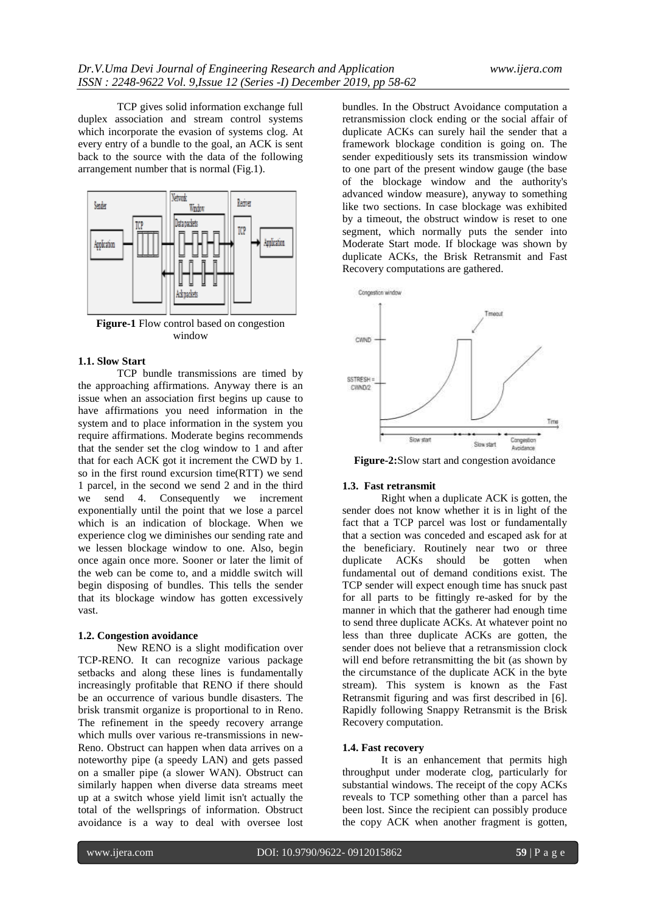TCP gives solid information exchange full duplex association and stream control systems which incorporate the evasion of systems clog. At every entry of a bundle to the goal, an ACK is sent back to the source with the data of the following arrangement number that is normal (Fig.1).



**Figure-1** Flow control based on congestion window

# **1.1. Slow Start**

TCP bundle transmissions are timed by the approaching affirmations. Anyway there is an issue when an association first begins up cause to have affirmations you need information in the system and to place information in the system you require affirmations. Moderate begins recommends that the sender set the clog window to 1 and after that for each ACK got it increment the CWD by 1. so in the first round excursion time(RTT) we send 1 parcel, in the second we send 2 and in the third we send 4. Consequently we increment exponentially until the point that we lose a parcel which is an indication of blockage. When we experience clog we diminishes our sending rate and we lessen blockage window to one. Also, begin once again once more. Sooner or later the limit of the web can be come to, and a middle switch will begin disposing of bundles. This tells the sender that its blockage window has gotten excessively vast.

#### **1.2. Congestion avoidance**

New RENO is a slight modification over TCP-RENO. It can recognize various package setbacks and along these lines is fundamentally increasingly profitable that RENO if there should be an occurrence of various bundle disasters. The brisk transmit organize is proportional to in Reno. The refinement in the speedy recovery arrange which mulls over various re-transmissions in new-Reno. Obstruct can happen when data arrives on a noteworthy pipe (a speedy LAN) and gets passed on a smaller pipe (a slower WAN). Obstruct can similarly happen when diverse data streams meet up at a switch whose yield limit isn't actually the total of the wellsprings of information. Obstruct avoidance is a way to deal with oversee lost

bundles. In the Obstruct Avoidance computation a retransmission clock ending or the social affair of duplicate ACKs can surely hail the sender that a framework blockage condition is going on. The sender expeditiously sets its transmission window to one part of the present window gauge (the base of the blockage window and the authority's advanced window measure), anyway to something like two sections. In case blockage was exhibited by a timeout, the obstruct window is reset to one segment, which normally puts the sender into Moderate Start mode. If blockage was shown by duplicate ACKs, the Brisk Retransmit and Fast Recovery computations are gathered.



**Figure-2:**Slow start and congestion avoidance

#### **1.3. Fast retransmit**

Right when a duplicate ACK is gotten, the sender does not know whether it is in light of the fact that a TCP parcel was lost or fundamentally that a section was conceded and escaped ask for at the beneficiary. Routinely near two or three duplicate ACKs should be gotten when fundamental out of demand conditions exist. The TCP sender will expect enough time has snuck past for all parts to be fittingly re-asked for by the manner in which that the gatherer had enough time to send three duplicate ACKs. At whatever point no less than three duplicate ACKs are gotten, the sender does not believe that a retransmission clock will end before retransmitting the bit (as shown by the circumstance of the duplicate ACK in the byte stream). This system is known as the Fast Retransmit figuring and was first described in [6]. Rapidly following Snappy Retransmit is the Brisk Recovery computation.

#### **1.4. Fast recovery**

It is an enhancement that permits high throughput under moderate clog, particularly for substantial windows. The receipt of the copy ACKs reveals to TCP something other than a parcel has been lost. Since the recipient can possibly produce the copy ACK when another fragment is gotten,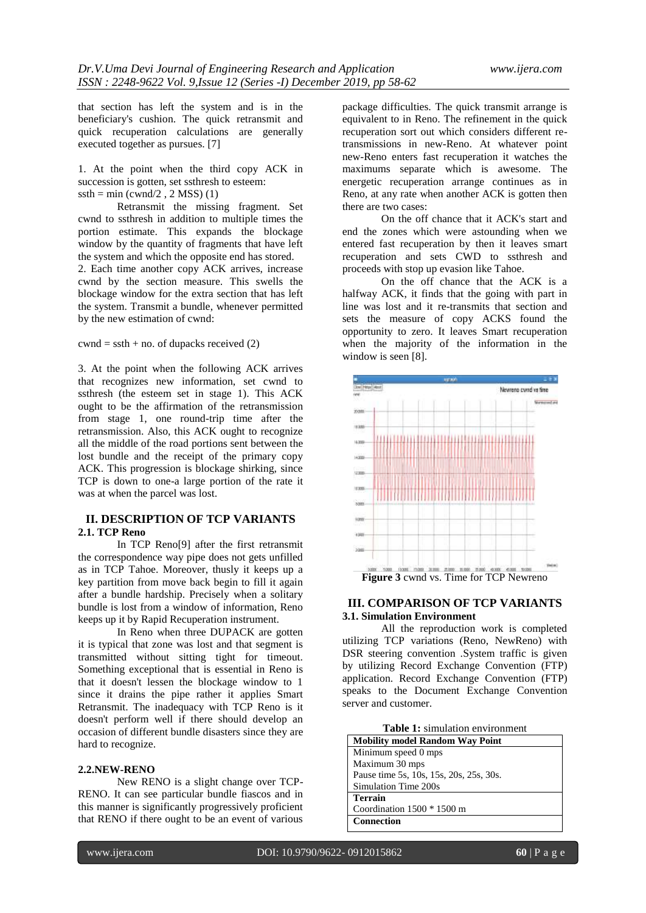that section has left the system and is in the beneficiary's cushion. The quick retransmit and quick recuperation calculations are generally executed together as pursues. [7]

1. At the point when the third copy ACK in succession is gotten, set ssthresh to esteem:  $ssth = min (cwnd/2, 2 MSS)$  (1)

Retransmit the missing fragment. Set cwnd to ssthresh in addition to multiple times the portion estimate. This expands the blockage window by the quantity of fragments that have left the system and which the opposite end has stored.

2. Each time another copy ACK arrives, increase cwnd by the section measure. This swells the blockage window for the extra section that has left the system. Transmit a bundle, whenever permitted by the new estimation of cwnd:

#### $\text{cwnd} = \text{ssth} + \text{no.}$  of dupacks received (2)

3. At the point when the following ACK arrives that recognizes new information, set cwnd to ssthresh (the esteem set in stage 1). This ACK ought to be the affirmation of the retransmission from stage 1, one round-trip time after the retransmission. Also, this ACK ought to recognize all the middle of the road portions sent between the lost bundle and the receipt of the primary copy ACK. This progression is blockage shirking, since TCP is down to one-a large portion of the rate it was at when the parcel was lost.

# **II. DESCRIPTION OF TCP VARIANTS 2.1. TCP Reno**

In TCP Reno[9] after the first retransmit the correspondence way pipe does not gets unfilled as in TCP Tahoe. Moreover, thusly it keeps up a key partition from move back begin to fill it again after a bundle hardship. Precisely when a solitary bundle is lost from a window of information, Reno keeps up it by Rapid Recuperation instrument.

In Reno when three DUPACK are gotten it is typical that zone was lost and that segment is transmitted without sitting tight for timeout. Something exceptional that is essential in Reno is that it doesn't lessen the blockage window to 1 since it drains the pipe rather it applies Smart Retransmit. The inadequacy with TCP Reno is it doesn't perform well if there should develop an occasion of different bundle disasters since they are hard to recognize.

#### **2.2.NEW-RENO**

New RENO is a slight change over TCP-RENO. It can see particular bundle fiascos and in this manner is significantly progressively proficient that RENO if there ought to be an event of various

package difficulties. The quick transmit arrange is equivalent to in Reno. The refinement in the quick recuperation sort out which considers different retransmissions in new-Reno. At whatever point new-Reno enters fast recuperation it watches the maximums separate which is awesome. The energetic recuperation arrange continues as in Reno, at any rate when another ACK is gotten then there are two cases:

On the off chance that it ACK's start and end the zones which were astounding when we entered fast recuperation by then it leaves smart recuperation and sets CWD to ssthresh and proceeds with stop up evasion like Tahoe.

On the off chance that the ACK is a halfway ACK, it finds that the going with part in line was lost and it re-transmits that section and sets the measure of copy ACKS found the opportunity to zero. It leaves Smart recuperation when the majority of the information in the window is seen [8].



## **III. COMPARISON OF TCP VARIANTS 3.1. Simulation Environment**

All the reproduction work is completed utilizing TCP variations (Reno, NewReno) with DSR steering convention .System traffic is given by utilizing Record Exchange Convention (FTP) application. Record Exchange Convention (FTP) speaks to the Document Exchange Convention server and customer.

**Table 1:** simulation environment

| <b>Mobility model Random Way Point</b>  |
|-----------------------------------------|
| Minimum speed 0 mps                     |
| Maximum 30 mps                          |
| Pause time 5s, 10s, 15s, 20s, 25s, 30s. |
| Simulation Time 200s                    |
| <b>Terrain</b>                          |
| Coordination $1500 * 1500$ m            |
| Connection                              |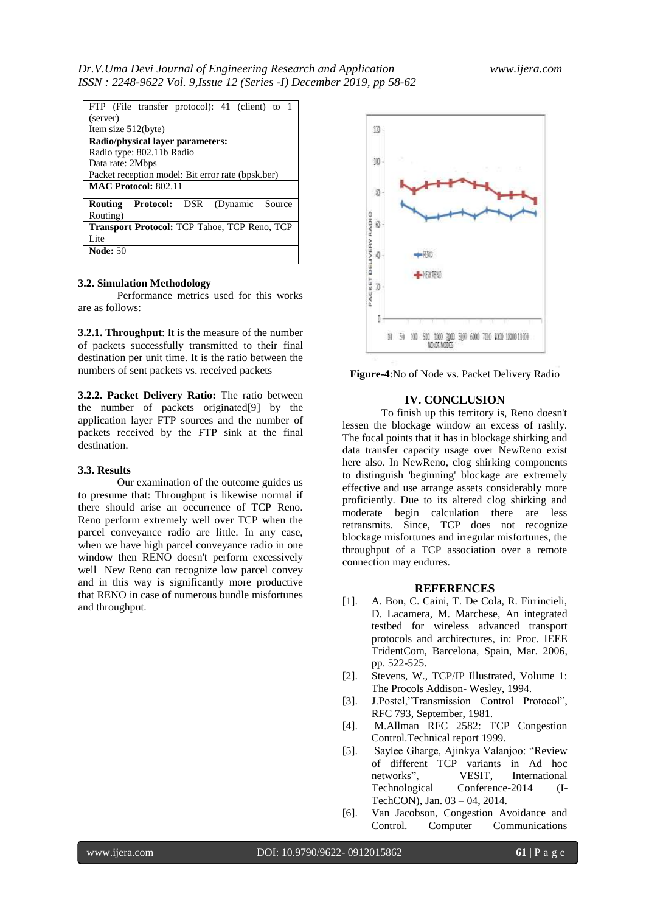| FTP (File transfer protocol): 41 (client) to 1        |
|-------------------------------------------------------|
| (server)                                              |
| Item size 512(byte)                                   |
| Radio/physical laver parameters:                      |
| Radio type: 802.11b Radio                             |
| Data rate: 2Mbps                                      |
| Packet reception model: Bit error rate (bpsk.ber)     |
| <b>MAC Protocol: 802.11</b>                           |
| <b>Protocol:</b> DSR<br>(Dynamic<br>Routing<br>Source |
| Routing)                                              |
|                                                       |
| <b>Transport Protocol: TCP Tahoe, TCP Reno, TCP</b>   |
| Lite                                                  |

### **3.2. Simulation Methodology**

Performance metrics used for this works are as follows:

**3.2.1. Throughput**: It is the measure of the number of packets successfully transmitted to their final destination per unit time. It is the ratio between the numbers of sent packets vs. received packets

**3.2.2. Packet Delivery Ratio:** The ratio between the number of packets originated[9] by the application layer FTP sources and the number of packets received by the FTP sink at the final destination.

## **3.3. Results**

Our examination of the outcome guides us to presume that: Throughput is likewise normal if there should arise an occurrence of TCP Reno. Reno perform extremely well over TCP when the parcel conveyance radio are little. In any case, when we have high parcel conveyance radio in one window then RENO doesn't perform excessively well New Reno can recognize low parcel convey and in this way is significantly more productive that RENO in case of numerous bundle misfortunes and throughput.



**Figure-4**:No of Node vs. Packet Delivery Radio

# **IV. CONCLUSION**

To finish up this territory is, Reno doesn't lessen the blockage window an excess of rashly. The focal points that it has in blockage shirking and data transfer capacity usage over NewReno exist here also. In NewReno, clog shirking components to distinguish 'beginning' blockage are extremely effective and use arrange assets considerably more proficiently. Due to its altered clog shirking and moderate begin calculation there are less retransmits. Since, TCP does not recognize blockage misfortunes and irregular misfortunes, the throughput of a TCP association over a remote connection may endures.

# **REFERENCES**

- [1]. A. Bon, C. Caini, T. De Cola, R. Firrincieli, D. Lacamera, M. Marchese, An integrated testbed for wireless advanced transport protocols and architectures, in: Proc. IEEE TridentCom, Barcelona, Spain, Mar. 2006, pp. 522-525.
- [2]. Stevens, W., TCP/IP Illustrated, Volume 1: The Procols Addison- Wesley, 1994.
- [3]. J.Postel,"Transmission Control Protocol", RFC 793, September, 1981.
- [4]. M.Allman RFC 2582: TCP Congestion Control.Technical report 1999.
- [5]. Saylee Gharge, Ajinkya Valanjoo: "Review of different TCP variants in Ad hoc networks", VESIT, International Technological Conference-2014 (I-TechCON), Jan. 03 – 04, 2014.
- [6]. Van Jacobson, Congestion Avoidance and Control. Computer Communications